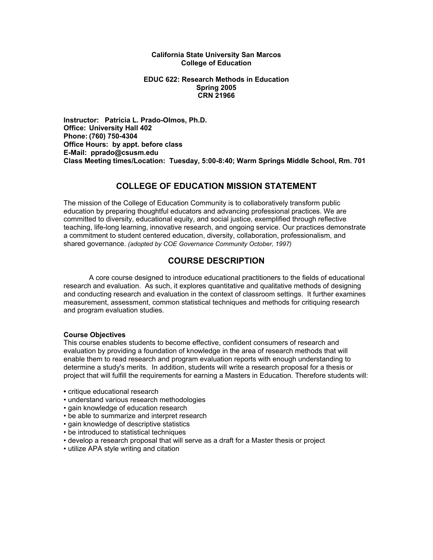#### **California State University San Marcos College of Education**

#### **EDUC 622: Research Methods in Education Spring 2005 CRN 21966**

**Instructor: Patricia L. Prado-Olmos, Ph.D. Office: University Hall 402 Phone: (760) 750-4304 Office Hours: by appt. before class E-Mail: pprado@csusm.edu Class Meeting times/Location: Tuesday, 5:00-8:40; Warm Springs Middle School, Rm. 701** 

### **COLLEGE OF EDUCATION MISSION STATEMENT**

The mission of the College of Education Community is to collaboratively transform public education by preparing thoughtful educators and advancing professional practices. We are committed to diversity, educational equity, and social justice, exemplified through reflective teaching, life-long learning, innovative research, and ongoing service. Our practices demonstrate a commitment to student centered education, diversity, collaboration, professionalism, and shared governance. *(adopted by COE Governance Community October, 1997)* 

# **COURSE DESCRIPTION**

 A core course designed to introduce educational practitioners to the fields of educational research and evaluation. As such, it explores quantitative and qualitative methods of designing and conducting research and evaluation in the context of classroom settings. It further examines measurement, assessment, common statistical techniques and methods for critiquing research and program evaluation studies.

#### **Course Objectives**

This course enables students to become effective, confident consumers of research and evaluation by providing a foundation of knowledge in the area of research methods that will enable them to read research and program evaluation reports with enough understanding to determine a study's merits. In addition, students will write a research proposal for a thesis or project that will fulfill the requirements for earning a Masters in Education. Therefore students will:

- critique educational research
- understand various research methodologies
- gain knowledge of education research
- be able to summarize and interpret research
- gain knowledge of descriptive statistics
- be introduced to statistical techniques
- develop a research proposal that will serve as a draft for a Master thesis or project
- utilize APA style writing and citation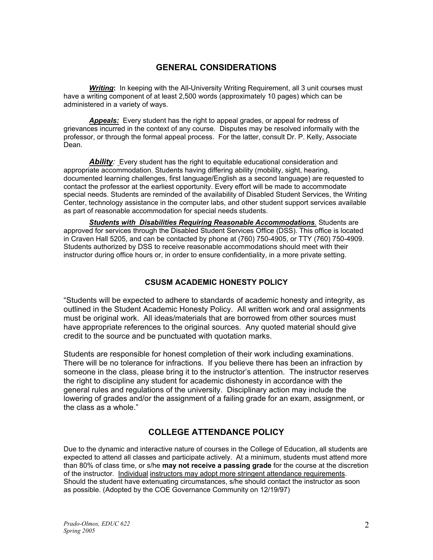# **GENERAL CONSIDERATIONS**

*Writing***:** In keeping with the All-University Writing Requirement, all 3 unit courses must have a writing component of at least 2,500 words (approximately 10 pages) which can be administered in a variety of ways.

*Appeals:* Every student has the right to appeal grades, or appeal for redress of grievances incurred in the context of any course. Disputes may be resolved informally with the professor, or through the formal appeal process. For the latter, consult Dr. P. Kelly, Associate Dean.

**Ability**: Every student has the right to equitable educational consideration and appropriate accommodation. Students having differing ability (mobility, sight, hearing, documented learning challenges, first language/English as a second language) are requested to contact the professor at the earliest opportunity. Every effort will be made to accommodate special needs. Students are reminded of the availability of Disabled Student Services, the Writing Center, technology assistance in the computer labs, and other student support services available as part of reasonable accommodation for special needs students.

*Students with Disabilities Requiring Reasonable Accommodations.* Students are approved for services through the Disabled Student Services Office (DSS). This office is located in Craven Hall 5205, and can be contacted by phone at (760) 750-4905, or TTY (760) 750-4909. Students authorized by DSS to receive reasonable accommodations should meet with their instructor during office hours or, in order to ensure confidentiality, in a more private setting.

### **CSUSM ACADEMIC HONESTY POLICY**

"Students will be expected to adhere to standards of academic honesty and integrity, as outlined in the Student Academic Honesty Policy. All written work and oral assignments must be original work. All ideas/materials that are borrowed from other sources must have appropriate references to the original sources. Any quoted material should give credit to the source and be punctuated with quotation marks.

Students are responsible for honest completion of their work including examinations. There will be no tolerance for infractions. If you believe there has been an infraction by someone in the class, please bring it to the instructor's attention. The instructor reserves the right to discipline any student for academic dishonesty in accordance with the general rules and regulations of the university. Disciplinary action may include the lowering of grades and/or the assignment of a failing grade for an exam, assignment, or the class as a whole."

# **COLLEGE ATTENDANCE POLICY**

Due to the dynamic and interactive nature of courses in the College of Education, all students are expected to attend all classes and participate actively. At a minimum, students must attend more than 80% of class time, or s/he **may not receive a passing grade** for the course at the discretion of the instructor. Individual instructors may adopt more stringent attendance requirements. Should the student have extenuating circumstances, s/he should contact the instructor as soon as possible. (Adopted by the COE Governance Community on 12/19/97)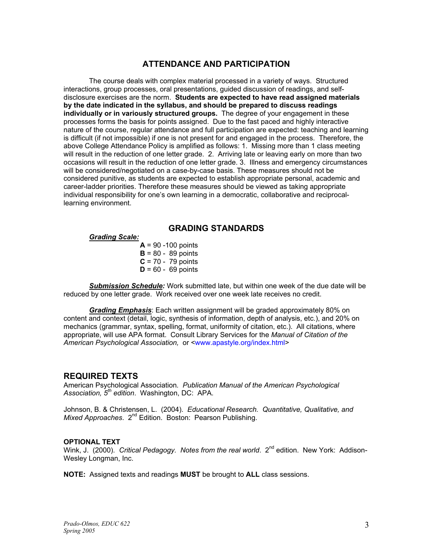# **ATTENDANCE AND PARTICIPATION**

The course deals with complex material processed in a variety of ways. Structured interactions, group processes, oral presentations, guided discussion of readings, and selfdisclosure exercises are the norm. **Students are expected to have read assigned materials by the date indicated in the syllabus, and should be prepared to discuss readings individually or in variously structured groups.** The degree of your engagement in these processes forms the basis for points assigned. Due to the fast paced and highly interactive nature of the course, regular attendance and full participation are expected: teaching and learning is difficult (if not impossible) if one is not present for and engaged in the process. Therefore, the above College Attendance Policy is amplified as follows: 1. Missing more than 1 class meeting will result in the reduction of one letter grade. 2. Arriving late or leaving early on more than two occasions will result in the reduction of one letter grade. 3. Illness and emergency circumstances will be considered/negotiated on a case-by-case basis. These measures should not be considered punitive, as students are expected to establish appropriate personal, academic and career-ladder priorities. Therefore these measures should be viewed as taking appropriate individual responsibility for one's own learning in a democratic, collaborative and reciprocallearning environment.

### **GRADING STANDARDS**

#### *Grading Scale:*

 $A = 90 - 100$  points  $B = 80 - 89$  points  **C** = 70 - 79 points  $D = 60 - 69$  points

*Submission Schedule:* Work submitted late, but within one week of the due date will be reduced by one letter grade. Work received over one week late receives no credit.

*Grading Emphasis*: Each written assignment will be graded approximately 80% on content and context (detail, logic, synthesis of information, depth of analysis, etc.), and 20% on mechanics (grammar, syntax, spelling, format, uniformity of citation, etc.). All citations, where appropriate, will use APA format. Consult Library Services for the *Manual of Citation of the American Psychological Association,* or <www.apastyle.org/index.html>

#### **REQUIRED TEXTS**

American Psychological Association*. Publication Manual of the American Psychological Association, 5th edition*. Washington, DC: APA.

Johnson, B. & Christensen, L. (2004). *Educational Research. Quantitative, Qualitative, and Mixed Approaches.* 2<sup>nd</sup> Edition. Boston: Pearson Publishing.

#### **OPTIONAL TEXT**

Wink, J. (2000). *Critical Pedagogy. Notes from the real world.* 2<sup>nd</sup> edition. New York: Addison-Wesley Longman, Inc.

**NOTE:** Assigned texts and readings **MUST** be brought to **ALL** class sessions.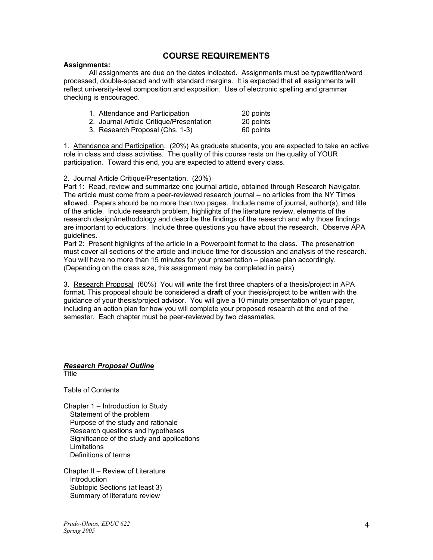### **COURSE REQUIREMENTS**

#### **Assignments:**

 All assignments are due on the dates indicated. Assignments must be typewritten/word processed, double-spaced and with standard margins. It is expected that all assignments will reflect university-level composition and exposition. Use of electronic spelling and grammar checking is encouraged.

| 1. Attendance and Participation          | 20 points |
|------------------------------------------|-----------|
| 2. Journal Article Critique/Presentation | 20 points |
| 3. Research Proposal (Chs. 1-3)          | 60 points |

1. Attendance and Participation. (20%) As graduate students, you are expected to take an active role in class and class activities. The quality of this course rests on the quality of YOUR participation. Toward this end, you are expected to attend every class.

#### 2. Journal Article Critique/Presentation. (20%)

Part 1: Read, review and summarize one journal article, obtained through Research Navigator. The article must come from a peer-reviewed research journal – no articles from the NY Times allowed. Papers should be no more than two pages. Include name of journal, author(s), and title of the article. Include research problem, highlights of the literature review, elements of the research design/methodology and describe the findings of the research and why those findings are important to educators. Include three questions you have about the research. Observe APA guidelines.

Part 2: Present highlights of the article in a Powerpoint format to the class. The presenatrion must cover all sections of the article and include time for discussion and analysis of the research. You will have no more than 15 minutes for your presentation – please plan accordingly. (Depending on the class size, this assignment may be completed in pairs)

3. Research Proposal (60%) You will write the first three chapters of a thesis/project in APA format. This proposal should be considered a **draft** of your thesis/project to be written with the guidance of your thesis/project advisor. You will give a 10 minute presentation of your paper, including an action plan for how you will complete your proposed research at the end of the semester. Each chapter must be peer-reviewed by two classmates.

#### *Research Proposal Outline* Title

Table of Contents

Chapter 1 – Introduction to Study Statement of the problem Purpose of the study and rationale Research questions and hypotheses Significance of the study and applications Limitations Definitions of terms

Chapter II – Review of Literature Introduction Subtopic Sections (at least 3) Summary of literature review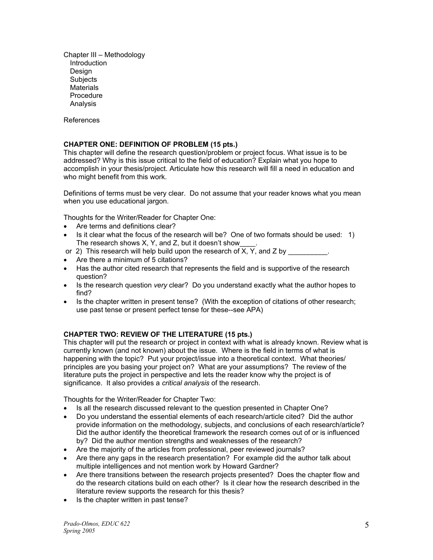Chapter III – Methodology Introduction **Design Subjects Materials**  Procedure Analysis

References

#### **CHAPTER ONE: DEFINITION OF PROBLEM (15 pts.)**

This chapter will define the research question/problem or project focus. What issue is to be addressed? Why is this issue critical to the field of education? Explain what you hope to accomplish in your thesis/project. Articulate how this research will fill a need in education and who might benefit from this work.

Definitions of terms must be very clear. Do not assume that your reader knows what you mean when you use educational jargon.

Thoughts for the Writer/Reader for Chapter One:

- Are terms and definitions clear?
- Is it clear what the focus of the research will be? One of two formats should be used: 1) The research shows X, Y, and Z, but it doesn't show
- or 2) This research will help build upon the research of  $\overline{X}$ ,  $\overline{Y}$ , and  $\overline{Z}$  by
- Are there a minimum of 5 citations?
- Has the author cited research that represents the field and is supportive of the research question?
- Is the research question *very* clear? Do you understand exactly what the author hopes to find?
- Is the chapter written in present tense? (With the exception of citations of other research; use past tense or present perfect tense for these--see APA)

#### **CHAPTER TWO: REVIEW OF THE LITERATURE (15 pts.)**

This chapter will put the research or project in context with what is already known. Review what is currently known (and not known) about the issue. Where is the field in terms of what is happening with the topic? Put your project/issue into a theoretical context. What theories/ principles are you basing your project on? What are your assumptions? The review of the literature puts the project in perspective and lets the reader know why the project is of significance. It also provides a *critical analysis* of the research.

Thoughts for the Writer/Reader for Chapter Two:

- Is all the research discussed relevant to the question presented in Chapter One?
- Do you understand the essential elements of each research/article cited? Did the author provide information on the methodology, subjects, and conclusions of each research/article? Did the author identify the theoretical framework the research comes out of or is influenced by? Did the author mention strengths and weaknesses of the research?
- Are the majority of the articles from professional, peer reviewed journals?
- Are there any gaps in the research presentation? For example did the author talk about multiple intelligences and not mention work by Howard Gardner?
- Are there transitions between the research projects presented? Does the chapter flow and do the research citations build on each other? Is it clear how the research described in the literature review supports the research for this thesis?
- Is the chapter written in past tense?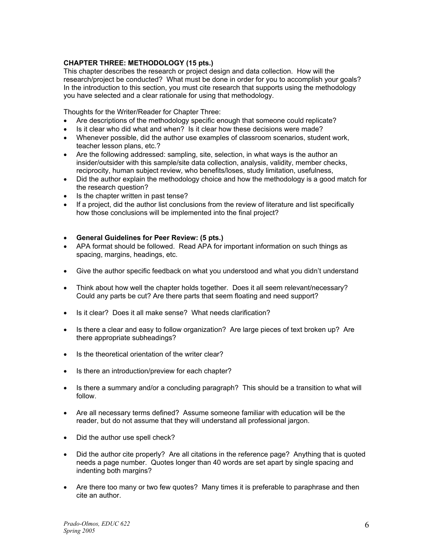#### **CHAPTER THREE: METHODOLOGY (15 pts.)**

This chapter describes the research or project design and data collection. How will the research/project be conducted? What must be done in order for you to accomplish your goals? In the introduction to this section, you must cite research that supports using the methodology you have selected and a clear rationale for using that methodology.

Thoughts for the Writer/Reader for Chapter Three:

- Are descriptions of the methodology specific enough that someone could replicate?
- Is it clear who did what and when? Is it clear how these decisions were made?
- Whenever possible, did the author use examples of classroom scenarios, student work, teacher lesson plans, etc.?
- Are the following addressed: sampling, site, selection, in what ways is the author an insider/outsider with this sample/site data collection, analysis, validity, member checks, reciprocity, human subject review, who benefits/loses, study limitation, usefulness,
- Did the author explain the methodology choice and how the methodology is a good match for the research question?
- Is the chapter written in past tense?
- If a project, did the author list conclusions from the review of literature and list specifically how those conclusions will be implemented into the final project?

#### • **General Guidelines for Peer Review: (5 pts.)**

- APA format should be followed. Read APA for important information on such things as spacing, margins, headings, etc.
- Give the author specific feedback on what you understood and what you didn't understand
- Think about how well the chapter holds together. Does it all seem relevant/necessary? Could any parts be cut? Are there parts that seem floating and need support?
- Is it clear? Does it all make sense? What needs clarification?
- Is there a clear and easy to follow organization? Are large pieces of text broken up? Are there appropriate subheadings?
- Is the theoretical orientation of the writer clear?
- Is there an introduction/preview for each chapter?
- Is there a summary and/or a concluding paragraph? This should be a transition to what will follow.
- Are all necessary terms defined? Assume someone familiar with education will be the reader, but do not assume that they will understand all professional jargon.
- Did the author use spell check?
- Did the author cite properly? Are all citations in the reference page? Anything that is quoted needs a page number. Quotes longer than 40 words are set apart by single spacing and indenting both margins?
- Are there too many or two few quotes? Many times it is preferable to paraphrase and then cite an author.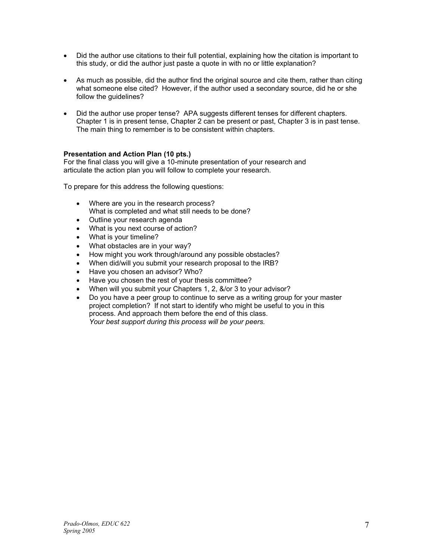- Did the author use citations to their full potential, explaining how the citation is important to this study, or did the author just paste a quote in with no or little explanation?
- As much as possible, did the author find the original source and cite them, rather than citing what someone else cited? However, if the author used a secondary source, did he or she follow the guidelines?
- Did the author use proper tense? APA suggests different tenses for different chapters. Chapter 1 is in present tense, Chapter 2 can be present or past, Chapter 3 is in past tense. The main thing to remember is to be consistent within chapters.

#### **Presentation and Action Plan (10 pts.)**

For the final class you will give a 10-minute presentation of your research and articulate the action plan you will follow to complete your research.

To prepare for this address the following questions:

- Where are you in the research process? What is completed and what still needs to be done?
- Outline your research agenda
- What is you next course of action?
- What is your timeline?
- What obstacles are in your way?
- How might you work through/around any possible obstacles?
- When did/will you submit your research proposal to the IRB?
- Have you chosen an advisor? Who?
- Have you chosen the rest of your thesis committee?
- When will you submit your Chapters 1, 2, &/or 3 to your advisor?
- Do you have a peer group to continue to serve as a writing group for your master project completion? If not start to identify who might be useful to you in this process. And approach them before the end of this class. *Your best support during this process will be your peers.*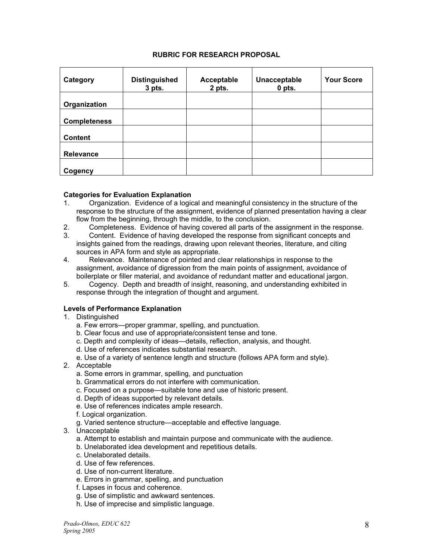### **RUBRIC FOR RESEARCH PROPOSAL**

| Category            | <b>Distinguished</b><br>$3$ pts. | Acceptable<br>2 pts. | Unacceptable<br>$0$ pts. | <b>Your Score</b> |
|---------------------|----------------------------------|----------------------|--------------------------|-------------------|
| Organization        |                                  |                      |                          |                   |
| <b>Completeness</b> |                                  |                      |                          |                   |
| <b>Content</b>      |                                  |                      |                          |                   |
| <b>Relevance</b>    |                                  |                      |                          |                   |
| Cogency             |                                  |                      |                          |                   |

#### **Categories for Evaluation Explanation**

- 1. Organization. Evidence of a logical and meaningful consistency in the structure of the response to the structure of the assignment, evidence of planned presentation having a clear flow from the beginning, through the middle, to the conclusion.
- 2. Completeness. Evidence of having covered all parts of the assignment in the response.
- 3. Content. Evidence of having developed the response from significant concepts and insights gained from the readings, drawing upon relevant theories, literature, and citing sources in APA form and style as appropriate.
- 4. Relevance. Maintenance of pointed and clear relationships in response to the assignment, avoidance of digression from the main points of assignment, avoidance of boilerplate or filler material, and avoidance of redundant matter and educational jargon.
- 5. Cogency. Depth and breadth of insight, reasoning, and understanding exhibited in response through the integration of thought and argument.

#### **Levels of Performance Explanation**

- 1. Distinguished
	- a. Few errors—proper grammar, spelling, and punctuation.
	- b. Clear focus and use of appropriate/consistent tense and tone.
	- c. Depth and complexity of ideas—details, reflection, analysis, and thought.
	- d. Use of references indicates substantial research.
	- e. Use of a variety of sentence length and structure (follows APA form and style).
- 2. Acceptable
	- a. Some errors in grammar, spelling, and punctuation
	- b. Grammatical errors do not interfere with communication.
	- c. Focused on a purpose—suitable tone and use of historic present.
	- d. Depth of ideas supported by relevant details.
	- e. Use of references indicates ample research.
	- f. Logical organization.
	- g. Varied sentence structure—acceptable and effective language.
- 3. Unacceptable
	- a. Attempt to establish and maintain purpose and communicate with the audience.
	- b. Unelaborated idea development and repetitious details.
	- c. Unelaborated details.
	- d. Use of few references.
	- d. Use of non-current literature.
	- e. Errors in grammar, spelling, and punctuation
	- f. Lapses in focus and coherence.
	- g. Use of simplistic and awkward sentences.
	- h. Use of imprecise and simplistic language.